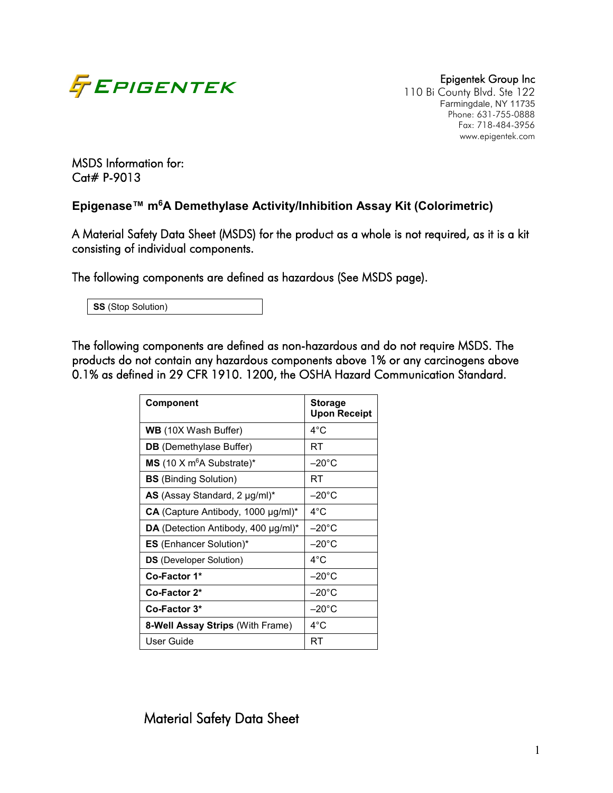

110 Bi County Blvd. Ste 122 Farmingdale, NY 11735 Phone: 631-755-0888 Fax: 718-484-3956 www.epigentek.com

MSDS Information for: Cat# P-9013

# **Epigenase™ m6A Demethylase Activity/Inhibition Assay Kit (Colorimetric)**

A Material Safety Data Sheet (MSDS) for the product as a whole is not required, as it is a kit consisting of individual components.

The following components are defined as hazardous (See MSDS page).

**SS** (Stop Solution)

The following components are defined as non-hazardous and do not require MSDS. The products do not contain any hazardous components above 1% or any carcinogens above 0.1% as defined in 29 CFR 1910. 1200, the OSHA Hazard Communication Standard.

| Component                                                | <b>Storage</b><br><b>Upon Receipt</b> |
|----------------------------------------------------------|---------------------------------------|
| WB (10X Wash Buffer)                                     | $4^{\circ}$ C                         |
| <b>DB</b> (Demethylase Buffer)                           | RT                                    |
| <b>MS</b> (10 X m <sup>6</sup> A Substrate) <sup>*</sup> | $-20^{\circ}$ C                       |
| <b>BS</b> (Binding Solution)                             | RT                                    |
| AS (Assay Standard, 2 µg/ml)*                            | $-20^{\circ}$ C                       |
| $CA$ (Capture Antibody, 1000 $\mu$ g/ml)*                | $4^{\circ}$ C                         |
| <b>DA</b> (Detection Antibody, 400 $\mu$ g/ml)*          | $-20^{\circ}$ C                       |
| <b>ES</b> (Enhancer Solution)*                           | $-20^{\circ}$ C                       |
| <b>DS</b> (Developer Solution)                           | $4^{\circ}$ C                         |
| Co-Factor 1*                                             | $-20^{\circ}$ C                       |
| Co-Factor 2*                                             | $-20^{\circ}$ C                       |
| Co-Factor 3*                                             | $-20^{\circ}$ C                       |
| 8-Well Assay Strips (With Frame)                         | $4^{\circ}$ C                         |
| User Guide                                               | RT                                    |

Material Safety Data Sheet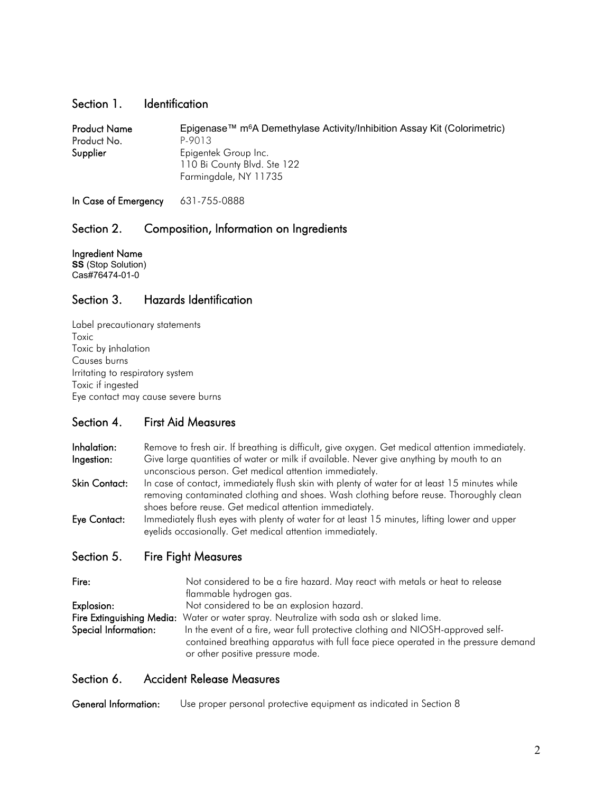#### Section 1. Identification

| <b>Product Name</b> | Epigenase™ m <sup>6</sup> A Demethylase Activity/Inhibition Assay Kit (Colorimetric) |
|---------------------|--------------------------------------------------------------------------------------|
| Product No.         | P-9013                                                                               |
| Supplier            | Epigentek Group Inc.<br>110 Bi County Blvd. Ste 122<br>Farmingdale, NY 11735         |

In Case of Emergency 631-755-0888

### Section 2. Composition, Information on Ingredients

Ingredient Name **SS** (Stop Solution) Cas#76474-01-0

### Section 3. Hazards Identification

Label precautionary statements Toxic Toxic by inhalation Causes burns Irritating to respiratory system Toxic if ingested Eye contact may cause severe burns

### Section 4. First Aid Measures

- Inhalation: Remove to fresh air. If breathing is difficult, give oxygen. Get medical attention immediately. Ingestion: Give large quantities of water or milk if available. Never give anything by mouth to an unconscious person. Get medical attention immediately.
- Skin Contact: In case of contact, immediately flush skin with plenty of water for at least 15 minutes while removing contaminated clothing and shoes. Wash clothing before reuse. Thoroughly clean shoes before reuse. Get medical attention immediately.
- Eye Contact: Immediately flush eyes with plenty of water for at least 15 minutes, lifting lower and upper eyelids occasionally. Get medical attention immediately.

### Section 5. Fire Fight Measures

| Fire:                | Not considered to be a fire hazard. May react with metals or heat to release<br>flammable hydrogen gas.                                                                                                  |
|----------------------|----------------------------------------------------------------------------------------------------------------------------------------------------------------------------------------------------------|
| Explosion:           | Not considered to be an explosion hazard.                                                                                                                                                                |
|                      | Fire Extinguishing Media: Water or water spray. Neutralize with soda ash or slaked lime.                                                                                                                 |
| Special Information: | In the event of a fire, wear full protective clothing and NIOSH-approved self-<br>contained breathing apparatus with full face piece operated in the pressure demand<br>or other positive pressure mode. |

### Section 6. Accident Release Measures

General Information: Use proper personal protective equipment as indicated in Section 8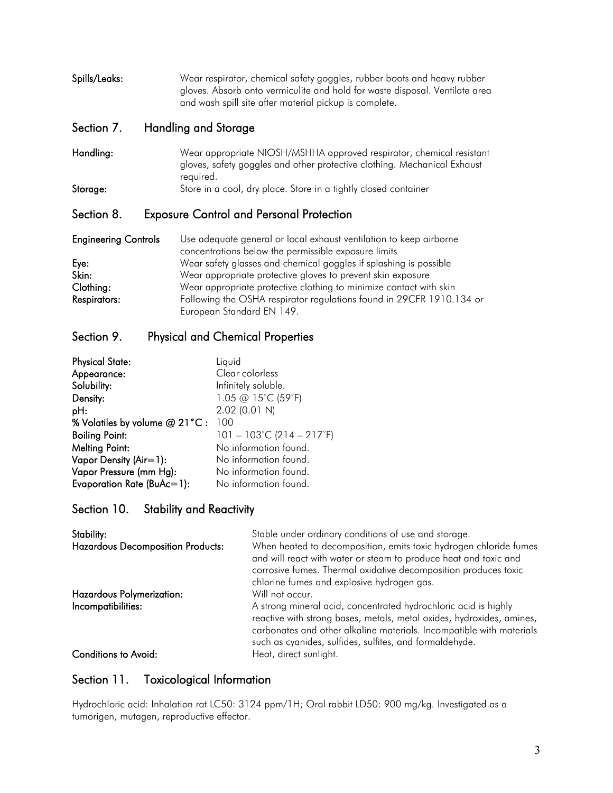| Spills/Leaks:                                                             | Wear respirator, chemical safety goggles, rubber boots and heavy rubber<br>gloves. Absorb onto vermiculite and hold for waste disposal. Ventilate area<br>and wash spill site after material pickup is complete.                                                                                                                                                                                                                          |  |  |
|---------------------------------------------------------------------------|-------------------------------------------------------------------------------------------------------------------------------------------------------------------------------------------------------------------------------------------------------------------------------------------------------------------------------------------------------------------------------------------------------------------------------------------|--|--|
| Section 7.                                                                | <b>Handling and Storage</b>                                                                                                                                                                                                                                                                                                                                                                                                               |  |  |
| Handling:                                                                 | Wear appropriate NIOSH/MSHHA approved respirator, chemical resistant<br>gloves, safety goggles and other protective clothing. Mechanical Exhaust<br>required.                                                                                                                                                                                                                                                                             |  |  |
| Storage:                                                                  | Store in a cool, dry place. Store in a tightly closed container                                                                                                                                                                                                                                                                                                                                                                           |  |  |
| <b>Exposure Control and Personal Protection</b><br>Section 8.             |                                                                                                                                                                                                                                                                                                                                                                                                                                           |  |  |
| <b>Engineering Controls</b><br>Eye:<br>Skin:<br>Clothing:<br>Respirators: | Use adequate general or local exhaust ventilation to keep airborne<br>concentrations below the permissible exposure limits<br>Wear safety glasses and chemical goggles if splashing is possible<br>Wear appropriate protective gloves to prevent skin exposure<br>Wear appropriate protective clothing to minimize contact with skin<br>Following the OSHA respirator regulations found in 29CFR 1910.134 or<br>European Standard EN 149. |  |  |

# Section 9. Physical and Chemical Properties

| <b>Physical State:</b>         | Liquid                                         |
|--------------------------------|------------------------------------------------|
| Appearance:                    | Clear colorless                                |
| Solubility:                    | Infinitely soluble.                            |
| Density:                       | 1.05 @ 15°C (59°F)                             |
| pH:                            | 2.02 (0.01 N)                                  |
| % Volatiles by volume @ 21°C : | 100                                            |
| <b>Boiling Point:</b>          | $101 - 103^{\circ}$ C (214 - 217 $^{\circ}$ F) |
| <b>Melting Point:</b>          | No information found.                          |
| Vapor Density (Air=1):         | No information found.                          |
| Vapor Pressure (mm Hg):        | No information found.                          |
| Evaporation Rate (BuAc=1):     | No information found.                          |

Section 10. Stability and Reactivity

| Stability:<br><b>Hazardous Decomposition Products:</b> | Stable under ordinary conditions of use and storage.<br>When heated to decomposition, emits toxic hydrogen chloride fumes<br>and will react with water or steam to produce heat and toxic and<br>corrosive fumes. Thermal oxidative decomposition produces toxic<br>chlorine fumes and explosive hydrogen gas. |
|--------------------------------------------------------|----------------------------------------------------------------------------------------------------------------------------------------------------------------------------------------------------------------------------------------------------------------------------------------------------------------|
| Hazardous Polymerization:<br>Incompatibilities:        | Will not occur.<br>A strong mineral acid, concentrated hydrochloric acid is highly<br>reactive with strong bases, metals, metal oxides, hydroxides, amines,<br>carbonates and other alkaline materials. Incompatible with materials<br>such as cyanides, sulfides, sulfites, and formaldehyde.                 |
| <b>Conditions to Avoid:</b>                            | Heat, direct sunlight.                                                                                                                                                                                                                                                                                         |

# Section 11. Toxicological Information

Hydrochloric acid: Inhalation rat LC50: 3124 ppm/1H; Oral rabbit LD50: 900 mg/kg. Investigated as a tumorigen, mutagen, reproductive effector.